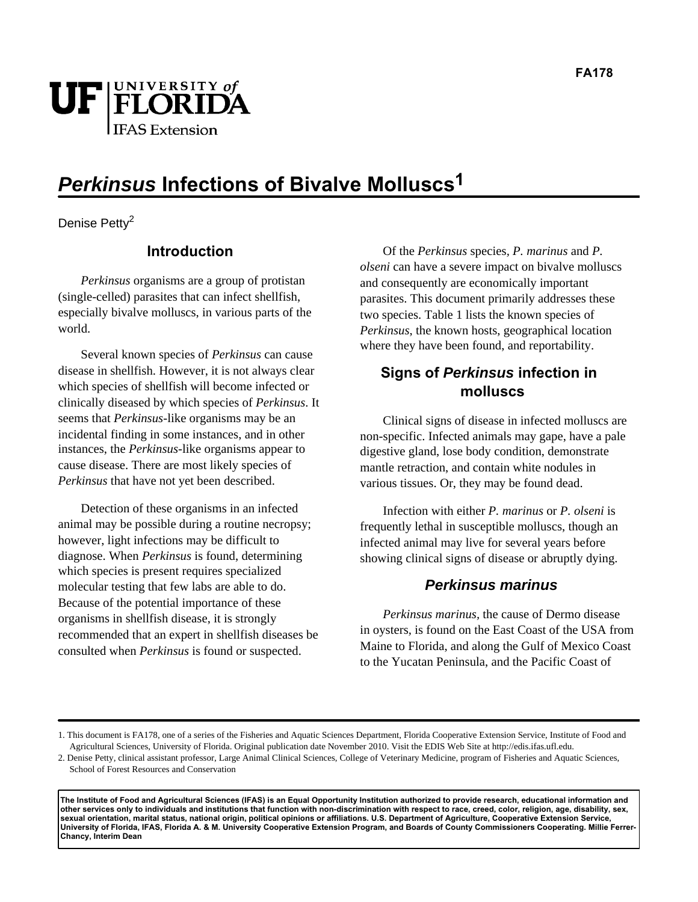

# **Perkinsus Infections of Bivalve Molluscs1**

Denise Petty<sup>2</sup>

## **Introduction**

*Perkinsus* organisms are a group of protistan (single-celled) parasites that can infect shellfish, especially bivalve molluscs, in various parts of the world.

Several known species of *Perkinsus* can cause disease in shellfish. However, it is not always clear which species of shellfish will become infected or clinically diseased by which species of *Perkinsus*. It seems that *Perkinsus*-like organisms may be an incidental finding in some instances, and in other instances, the *Perkinsus*-like organisms appear to cause disease. There are most likely species of *Perkinsus* that have not yet been described.

Detection of these organisms in an infected animal may be possible during a routine necropsy; however, light infections may be difficult to diagnose. When *Perkinsus* is found, determining which species is present requires specialized molecular testing that few labs are able to do. Because of the potential importance of these organisms in shellfish disease, it is strongly recommended that an expert in shellfish diseases be consulted when *Perkinsus* is found or suspected.

Of the *Perkinsus* species*, P. marinus* and *P. olseni* can have a severe impact on bivalve molluscs and consequently are economically important parasites. This document primarily addresses these two species. Table 1 lists the known species of *Perkinsus*, the known hosts, geographical location where they have been found, and reportability.

## **Signs of Perkinsus infection in molluscs**

Clinical signs of disease in infected molluscs are non-specific. Infected animals may gape, have a pale digestive gland, lose body condition, demonstrate mantle retraction, and contain white nodules in various tissues. Or, they may be found dead.

Infection with either *P. marinus* or *P. olseni* is frequently lethal in susceptible molluscs, though an infected animal may live for several years before showing clinical signs of disease or abruptly dying.

#### **Perkinsus marinus**

*Perkinsus marinus,* the cause of Dermo disease in oysters*,* is found on the East Coast of the USA from Maine to Florida, and along the Gulf of Mexico Coast to the Yucatan Peninsula, and the Pacific Coast of

**The Institute of Food and Agricultural Sciences (IFAS) is an Equal Opportunity Institution authorized to provide research, educational information and other services only to individuals and institutions that function with non-discrimination with respect to race, creed, color, religion, age, disability, sex, sexual orientation, marital status, national origin, political opinions or affiliations. U.S. Department of Agriculture, Cooperative Extension Service, University of Florida, IFAS, Florida A. & M. University Cooperative Extension Program, and Boards of County Commissioners Cooperating. Millie Ferrer-Chancy, Interim Dean**

<sup>1.</sup> This document is FA178, one of a series of the Fisheries and Aquatic Sciences Department, Florida Cooperative Extension Service, Institute of Food and Agricultural Sciences, University of Florida. Original publication date November 2010. Visit the EDIS Web Site at http://edis.ifas.ufl.edu.

<sup>2.</sup> Denise Petty, clinical assistant professor, Large Animal Clinical Sciences, College of Veterinary Medicine, program of Fisheries and Aquatic Sciences, School of Forest Resources and Conservation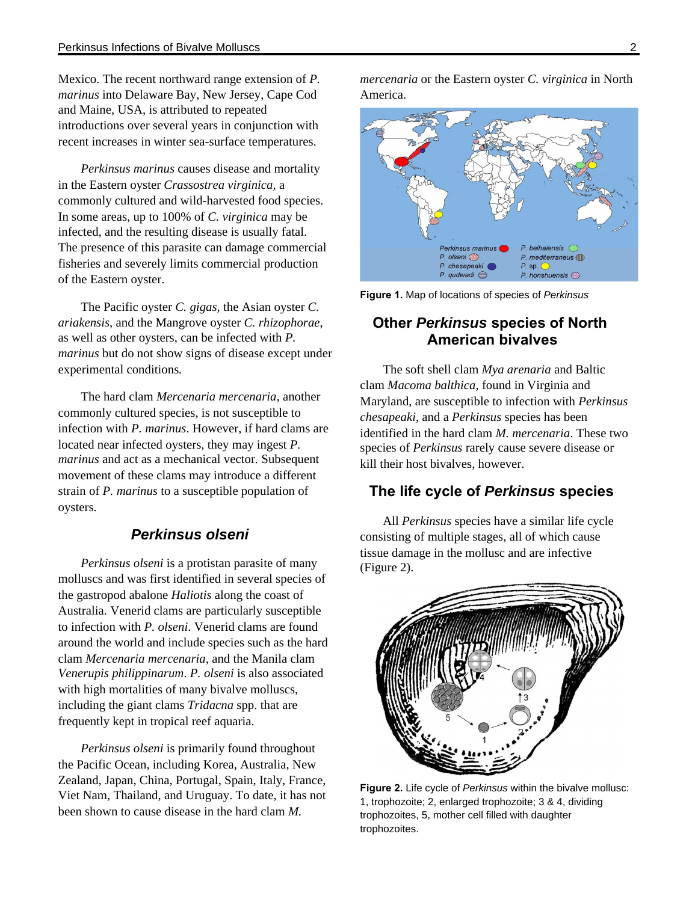Mexico. The recent northward range extension of *P. marinus* into Delaware Bay, New Jersey, Cape Cod and Maine, USA, is attributed to repeated introductions over several years in conjunction with recent increases in winter sea-surface temperatures.

*Perkinsus marinus* causes disease and mortality in the Eastern oyster *Crassostrea virginica,* a commonly cultured and wild-harvested food species. In some areas, up to 100% of *C. virginica* may be infected, and the resulting disease is usually fatal. The presence of this parasite can damage commercial fisheries and severely limits commercial production of the Eastern oyster.

The Pacific oyster *C. gigas*, the Asian oyster *C. ariakensis*, and the Mangrove oyster *C. rhizophorae*, as well as other oysters, can be infected with *P. marinus* but do not show signs of disease except under experimental conditions*.*

The hard clam *Mercenaria mercenaria*, another commonly cultured species, is not susceptible to infection with *P. marinus*. However, if hard clams are located near infected oysters, they may ingest *P. marinus* and act as a mechanical vector*.* Subsequent movement of these clams may introduce a different strain of *P. marinus* to a susceptible population of oysters.

#### **Perkinsus olseni**

*Perkinsus olseni* is a protistan parasite of many molluscs and was first identified in several species of the gastropod abalone *Haliotis* along the coast of Australia. Venerid clams are particularly susceptible to infection with *P. olseni*. Venerid clams are found around the world and include species such as the hard clam *Mercenaria mercenaria*, and the Manila clam *Venerupis philippinarum*. *P. olseni* is also associated with high mortalities of many bivalve molluscs, including the giant clams *Tridacna* spp. that are frequently kept in tropical reef aquaria.

*Perkinsus olseni* is primarily found throughout the Pacific Ocean, including Korea, Australia, New Zealand, Japan, China, Portugal, Spain, Italy, France, Viet Nam, Thailand, and Uruguay. To date, it has not been shown to cause disease in the hard clam *M.* 

*mercenaria* or the Eastern oyster *C. virginica* in North America.



**Figure 1.** Map of locations of species of Perkinsus

# **Other Perkinsus species of North American bivalves**

The soft shell clam *Mya arenaria* and Baltic clam *Macoma balthica*, found in Virginia and Maryland, are susceptible to infection with *Perkinsus chesapeaki*, and a *Perkinsus* species has been identified in the hard clam *M. mercenaria*. These two species of *Perkinsus* rarely cause severe disease or kill their host bivalves, however.

## **The life cycle of Perkinsus species**

All *Perkinsus* species have a similar life cycle consisting of multiple stages, all of which cause tissue damage in the mollusc and are infective (Figure 2).



Figure 2. Life cycle of Perkinsus within the bivalve mollusc: 1, trophozoite; 2, enlarged trophozoite; 3 & 4, dividing trophozoites, 5, mother cell filled with daughter trophozoites.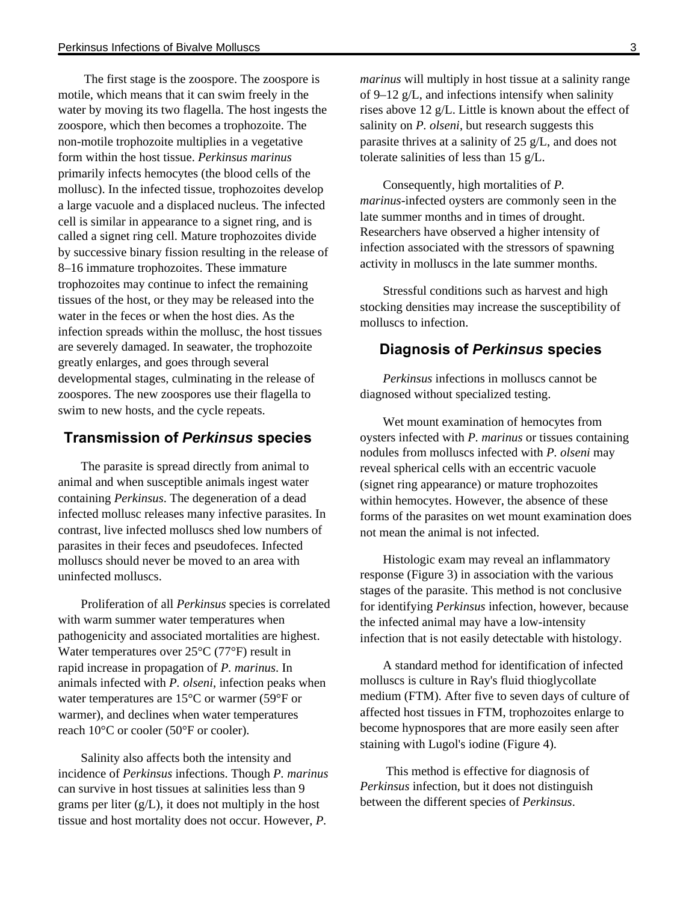The first stage is the zoospore. The zoospore is motile, which means that it can swim freely in the water by moving its two flagella. The host ingests the zoospore, which then becomes a trophozoite. The non-motile trophozoite multiplies in a vegetative form within the host tissue. *Perkinsus marinus* primarily infects hemocytes (the blood cells of the mollusc). In the infected tissue, trophozoites develop a large vacuole and a displaced nucleus. The infected cell is similar in appearance to a signet ring, and is called a signet ring cell. Mature trophozoites divide by successive binary fission resulting in the release of 8–16 immature trophozoites. These immature trophozoites may continue to infect the remaining tissues of the host, or they may be released into the water in the feces or when the host dies. As the infection spreads within the mollusc, the host tissues are severely damaged. In seawater, the trophozoite greatly enlarges, and goes through several developmental stages, culminating in the release of zoospores. The new zoospores use their flagella to swim to new hosts, and the cycle repeats.

#### **Transmission of Perkinsus species**

The parasite is spread directly from animal to animal and when susceptible animals ingest water containing *Perkinsus*. The degeneration of a dead infected mollusc releases many infective parasites. In contrast, live infected molluscs shed low numbers of parasites in their feces and pseudofeces. Infected molluscs should never be moved to an area with uninfected molluscs.

Proliferation of all *Perkinsus* species is correlated with warm summer water temperatures when pathogenicity and associated mortalities are highest. Water temperatures over 25°C (77°F) result in rapid increase in propagation of *P. marinus*. In animals infected with *P. olseni*, infection peaks when water temperatures are 15°C or warmer (59°F or warmer), and declines when water temperatures reach 10°C or cooler (50°F or cooler).

Salinity also affects both the intensity and incidence of *Perkinsus* infections. Though *P. marinus* can survive in host tissues at salinities less than 9 grams per liter  $(g/L)$ , it does not multiply in the host tissue and host mortality does not occur. However, *P.* 

*marinus* will multiply in host tissue at a salinity range of 9–12 g/L, and infections intensify when salinity rises above 12 g/L. Little is known about the effect of salinity on *P. olseni*, but research suggests this parasite thrives at a salinity of 25 g/L, and does not tolerate salinities of less than 15 g/L.

Consequently, high mortalities of *P. marinus*-infected oysters are commonly seen in the late summer months and in times of drought. Researchers have observed a higher intensity of infection associated with the stressors of spawning activity in molluscs in the late summer months.

Stressful conditions such as harvest and high stocking densities may increase the susceptibility of molluscs to infection.

#### **Diagnosis of Perkinsus species**

*Perkinsus* infections in molluscs cannot be diagnosed without specialized testing.

Wet mount examination of hemocytes from oysters infected with *P. marinus* or tissues containing nodules from molluscs infected with *P. olseni* may reveal spherical cells with an eccentric vacuole (signet ring appearance) or mature trophozoites within hemocytes. However, the absence of these forms of the parasites on wet mount examination does not mean the animal is not infected.

Histologic exam may reveal an inflammatory response (Figure 3) in association with the various stages of the parasite. This method is not conclusive for identifying *Perkinsus* infection, however, because the infected animal may have a low-intensity infection that is not easily detectable with histology.

A standard method for identification of infected molluscs is culture in Ray's fluid thioglycollate medium (FTM). After five to seven days of culture of affected host tissues in FTM, trophozoites enlarge to become hypnospores that are more easily seen after staining with Lugol's iodine (Figure 4).

 This method is effective for diagnosis of *Perkinsus* infection, but it does not distinguish between the different species of *Perkinsus*.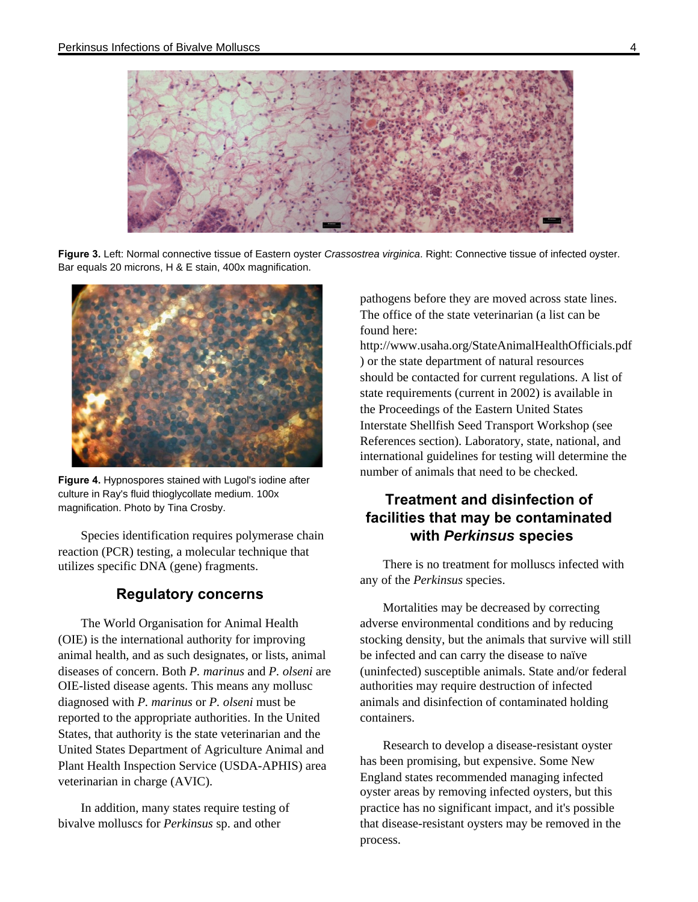

**Figure 3.** Left: Normal connective tissue of Eastern oyster Crassostrea virginica. Right: Connective tissue of infected oyster. Bar equals 20 microns, H & E stain, 400x magnification.



**Figure 4.** Hypnospores stained with Lugol's iodine after culture in Ray's fluid thioglycollate medium. 100x magnification. Photo by Tina Crosby.

Species identification requires polymerase chain reaction (PCR) testing, a molecular technique that utilizes specific DNA (gene) fragments.

## **Regulatory concerns**

The World Organisation for Animal Health (OIE) is the international authority for improving animal health, and as such designates, or lists, animal diseases of concern. Both *P. marinus* and *P. olseni* are OIE-listed disease agents. This means any mollusc diagnosed with *P. marinus* or *P. olseni* must be reported to the appropriate authorities. In the United States, that authority is the state veterinarian and the United States Department of Agriculture Animal and Plant Health Inspection Service (USDA-APHIS) area veterinarian in charge (AVIC).

In addition, many states require testing of bivalve molluscs for *Perkinsus* sp. and other

pathogens before they are moved across state lines. The office of the state veterinarian (a list can be found here:

http://www.usaha.org/StateAnimalHealthOfficials.pdf ) or the state department of natural resources should be contacted for current regulations. A list of state requirements (current in 2002) is available in the Proceedings of the Eastern United States Interstate Shellfish Seed Transport Workshop (see References section). Laboratory, state, national, and international guidelines for testing will determine the number of animals that need to be checked.

# **Treatment and disinfection of facilities that may be contaminated with Perkinsus species**

There is no treatment for molluscs infected with any of the *Perkinsus* species.

Mortalities may be decreased by correcting adverse environmental conditions and by reducing stocking density, but the animals that survive will still be infected and can carry the disease to naïve (uninfected) susceptible animals. State and/or federal authorities may require destruction of infected animals and disinfection of contaminated holding containers.

Research to develop a disease-resistant oyster has been promising, but expensive. Some New England states recommended managing infected oyster areas by removing infected oysters, but this practice has no significant impact, and it's possible that disease-resistant oysters may be removed in the process.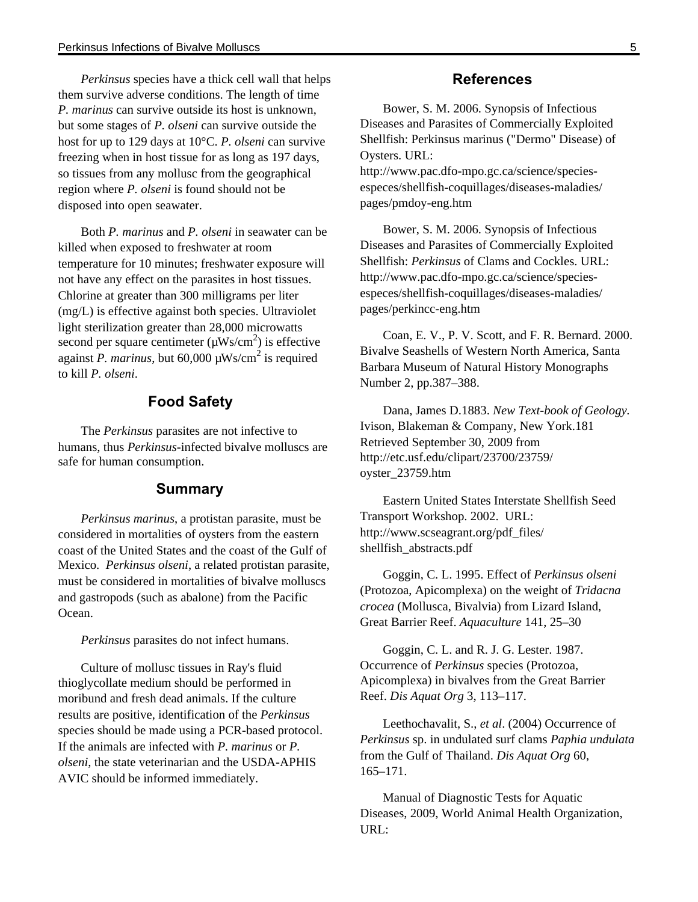*Perkinsus* species have a thick cell wall that helps them survive adverse conditions. The length of time *P. marinus* can survive outside its host is unknown, but some stages of *P. olseni* can survive outside the host for up to 129 days at 10°C. *P. olseni* can survive freezing when in host tissue for as long as 197 days, so tissues from any mollusc from the geographical region where *P. olseni* is found should not be disposed into open seawater.

Both *P. marinus* and *P. olseni* in seawater can be killed when exposed to freshwater at room temperature for 10 minutes; freshwater exposure will not have any effect on the parasites in host tissues. Chlorine at greater than 300 milligrams per liter (mg/L) is effective against both species. Ultraviolet light sterilization greater than 28,000 microwatts second per square centimeter  $(\mu Ws/cm^2)$  is effective against *P. marinus*, but 60,000 µWs/cm<sup>2</sup> is required to kill *P. olseni*.

#### **Food Safety**

The *Perkinsus* parasites are not infective to humans, thus *Perkinsus*-infected bivalve molluscs are safe for human consumption.

#### **Summary**

*Perkinsus marinus*, a protistan parasite, must be considered in mortalities of oysters from the eastern coast of the United States and the coast of the Gulf of Mexico. *Perkinsus olseni*, a related protistan parasite, must be considered in mortalities of bivalve molluscs and gastropods (such as abalone) from the Pacific Ocean.

*Perkinsus* parasites do not infect humans.

Culture of mollusc tissues in Ray's fluid thioglycollate medium should be performed in moribund and fresh dead animals. If the culture results are positive, identification of the *Perkinsus* species should be made using a PCR-based protocol. If the animals are infected with *P. marinus* or *P. olseni*, the state veterinarian and the USDA-APHIS AVIC should be informed immediately.

#### **References**

Bower, S. M. 2006. Synopsis of Infectious Diseases and Parasites of Commercially Exploited Shellfish: Perkinsus marinus ("Dermo" Disease) of Oysters. URL:

http://www.pac.dfo-mpo.gc.ca/science/speciesespeces/shellfish-coquillages/diseases-maladies/ pages/pmdoy-eng.htm

Bower, S. M. 2006. Synopsis of Infectious Diseases and Parasites of Commercially Exploited Shellfish: *Perkinsus* of Clams and Cockles. URL: http://www.pac.dfo-mpo.gc.ca/science/speciesespeces/shellfish-coquillages/diseases-maladies/ pages/perkincc-eng.htm

Coan, E. V., P. V. Scott, and F. R. Bernard. 2000. Bivalve Seashells of Western North America, Santa Barbara Museum of Natural History Monographs Number 2, pp.387–388.

Dana, James D.1883. *New Text-book of Geology.* Ivison, Blakeman & Company, New York.181 Retrieved September 30, 2009 from http://etc.usf.edu/clipart/23700/23759/ oyster\_23759.htm

Eastern United States Interstate Shellfish Seed Transport Workshop. 2002. URL: http://www.scseagrant.org/pdf\_files/ shellfish\_abstracts.pdf

Goggin, C. L. 1995. Effect of *Perkinsus olseni* (Protozoa, Apicomplexa) on the weight of *Tridacna crocea* (Mollusca, Bivalvia) from Lizard Island, Great Barrier Reef. *Aquaculture* 141, 25–30

Goggin, C. L. and R. J. G. Lester. 1987. Occurrence of *Perkinsus* species (Protozoa, Apicomplexa) in bivalves from the Great Barrier Reef. *Dis Aquat Org* 3, 113–117.

Leethochavalit, S., *et al*. (2004) Occurrence of *Perkinsus* sp. in undulated surf clams *Paphia undulata* from the Gulf of Thailand. *Dis Aquat Org* 60, 165–171.

Manual of Diagnostic Tests for Aquatic Diseases, 2009, World Animal Health Organization, URL: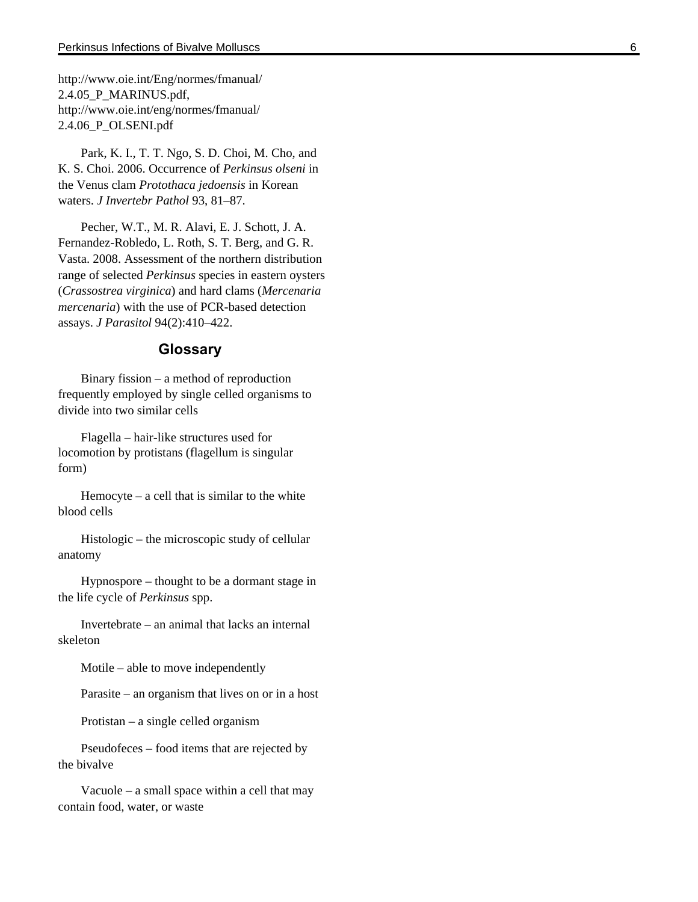http://www.oie.int/Eng/normes/fmanual/ 2.4.05\_P\_MARINUS.pdf, http://www.oie.int/eng/normes/fmanual/ 2.4.06\_P\_OLSENI.pdf

Park, K. I., T. T. Ngo, S. D. Choi, M. Cho, and K. S. Choi. 2006. Occurrence of *Perkinsus olseni* in the Venus clam *Protothaca jedoensis* in Korean waters. *J Invertebr Pathol* 93, 81–87.

Pecher, W.T., M. R. Alavi, E. J. Schott, J. A. Fernandez-Robledo, L. Roth, S. T. Berg, and G. R. Vasta. 2008. Assessment of the northern distribution range of selected *Perkinsus* species in eastern oysters (*Crassostrea virginica*) and hard clams (*Mercenaria mercenaria*) with the use of PCR-based detection assays. *J Parasitol* 94(2):410–422.

#### **Glossary**

Binary fission – a method of reproduction frequently employed by single celled organisms to divide into two similar cells

Flagella – hair-like structures used for locomotion by protistans (flagellum is singular form)

Hemocyte – a cell that is similar to the white blood cells

Histologic – the microscopic study of cellular anatomy

Hypnospore – thought to be a dormant stage in the life cycle of *Perkinsus* spp.

Invertebrate – an animal that lacks an internal skeleton

Motile – able to move independently

Parasite – an organism that lives on or in a host

Protistan – a single celled organism

Pseudofeces – food items that are rejected by the bivalve

Vacuole – a small space within a cell that may contain food, water, or waste